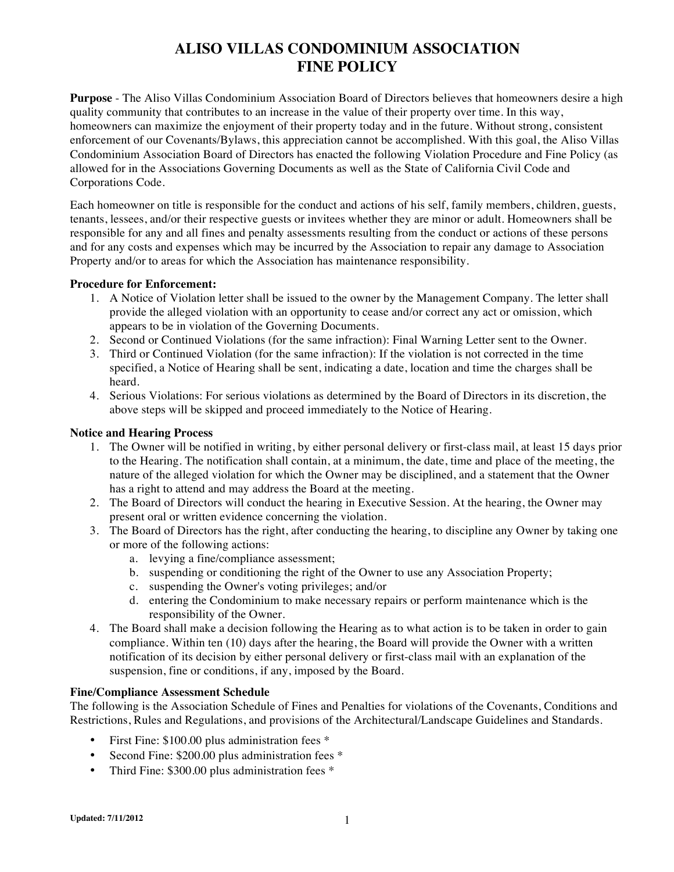# **ALISO VILLAS CONDOMINIUM ASSOCIATION FINE POLICY**

**Purpose** - The Aliso Villas Condominium Association Board of Directors believes that homeowners desire a high quality community that contributes to an increase in the value of their property over time. In this way, homeowners can maximize the enjoyment of their property today and in the future. Without strong, consistent enforcement of our Covenants/Bylaws, this appreciation cannot be accomplished. With this goal, the Aliso Villas Condominium Association Board of Directors has enacted the following Violation Procedure and Fine Policy (as allowed for in the Associations Governing Documents as well as the State of California Civil Code and Corporations Code.

Each homeowner on title is responsible for the conduct and actions of his self, family members, children, guests, tenants, lessees, and/or their respective guests or invitees whether they are minor or adult. Homeowners shall be responsible for any and all fines and penalty assessments resulting from the conduct or actions of these persons and for any costs and expenses which may be incurred by the Association to repair any damage to Association Property and/or to areas for which the Association has maintenance responsibility.

### **Procedure for Enforcement:**

- 1. A Notice of Violation letter shall be issued to the owner by the Management Company. The letter shall provide the alleged violation with an opportunity to cease and/or correct any act or omission, which appears to be in violation of the Governing Documents.
- 2. Second or Continued Violations (for the same infraction): Final Warning Letter sent to the Owner.
- 3. Third or Continued Violation (for the same infraction): If the violation is not corrected in the time specified, a Notice of Hearing shall be sent, indicating a date, location and time the charges shall be heard.
- 4. Serious Violations: For serious violations as determined by the Board of Directors in its discretion, the above steps will be skipped and proceed immediately to the Notice of Hearing.

#### **Notice and Hearing Process**

- 1. The Owner will be notified in writing, by either personal delivery or first-class mail, at least 15 days prior to the Hearing. The notification shall contain, at a minimum, the date, time and place of the meeting, the nature of the alleged violation for which the Owner may be disciplined, and a statement that the Owner has a right to attend and may address the Board at the meeting.
- 2. The Board of Directors will conduct the hearing in Executive Session. At the hearing, the Owner may present oral or written evidence concerning the violation.
- 3. The Board of Directors has the right, after conducting the hearing, to discipline any Owner by taking one or more of the following actions:
	- a. levying a fine/compliance assessment;
	- b. suspending or conditioning the right of the Owner to use any Association Property;
	- c. suspending the Owner's voting privileges; and/or
	- d. entering the Condominium to make necessary repairs or perform maintenance which is the responsibility of the Owner.
- 4. The Board shall make a decision following the Hearing as to what action is to be taken in order to gain compliance. Within ten (10) days after the hearing, the Board will provide the Owner with a written notification of its decision by either personal delivery or first-class mail with an explanation of the suspension, fine or conditions, if any, imposed by the Board.

#### **Fine/Compliance Assessment Schedule**

The following is the Association Schedule of Fines and Penalties for violations of the Covenants, Conditions and Restrictions, Rules and Regulations, and provisions of the Architectural/Landscape Guidelines and Standards.

- First Fine: \$100.00 plus administration fees \*
- Second Fine: \$200.00 plus administration fees \*
- Third Fine: \$300.00 plus administration fees \*